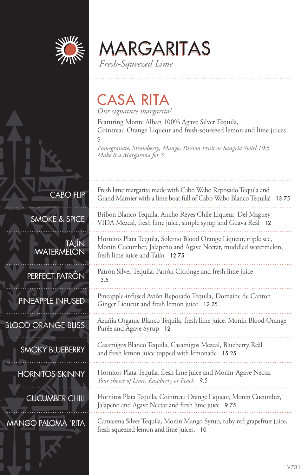

CABO FLIP

TAJÍN

MARGARITAS *Fresh-Squeezed Lime*

### CASA RITA

*Our signature margarita!*

Featuring Monte Alban 100% Agave Silver Tequila, Cointreau Orange Liqueur and fresh-squeezed lemon and lime juices

9

*Pomegranate, Strawberry, Mango, Passion Fruit or Sangria Swirl 10.5 Make it a Margarona for 3*

Fresh lime margarita made with Cabo Wabo Reposado Tequila and Grand Marnier with a lime boat full of Cabo Wabo Blanco Tequila! 13.75 Bribón Blanco Tequila, Ancho Reyes Chile Liqueur, Del Maguey VIDA Mezcal, fresh lime juice, simple syrup and Guava Reàl 12

Hornitos Plata Tequila, Solerno Blood Orange Liqueur, triple sec, Monin Cucumber, Jalapeño and Agave Nectar, muddled watermelon, fresh lime juice and Tajín 12.75

Patrón Silver Tequila, Patrón Citrónge and fresh lime juice 13.5

Pineapple-infused Avión Reposado Tequila, Domaine de Canton Ginger Liqueur and fresh lemon juice 12.25

Azuñia Organic Blanco Tequila, fresh lime juice, Monin Blood Orange Purée and Agave Syrup 12

Casamigos Blanco Tequila, Casamigos Mezcal, Blueberry Reàl and fresh lemon juice topped with lemonade 15.25

Hornitos Plata Tequila, fresh lime juice and Monin Agave Nectar *Your choice of Lime, Raspberry or Peach* 9.5

Hornitos Plata Tequila, Cointreau Orange Liqueur, Monin Cucumber, Jalapeño and Agave Nectar and fresh lime juice 9.75

Camarena Silver Tequila, Monin Mango Syrup, ruby red grapefruit juice, fresh-squeezed lemon and lime juices. 10

PERFECT PATRÓN

SMOKE & SPICE

**WATERMELON** 

PINEAPPLE INFUSED

BLOOD ORANGE BLISS

SMOKY BLUEBERRY

HORNITOS SKINNY

CUCUMBER CHILI

MANGO PALOMA `RITA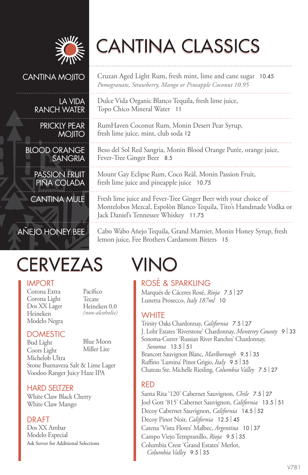

# CANTINA CLASSICS

Dulce Vida Organic Blanco Tequila, fresh lime juice,

RumHaven Coconut Rum, Monin Desert Pear Syrup,

Topo Chico Mineral Water 11

Fever-Tree Ginger Beer 8.5

fresh lime juice, mint, club soda 12

Cruzan Aged Light Rum, fresh mint, lime and cane sugar 10.45 *Pomegranate, Strawberry, Mango or Pineapple Coconut 10.95*

Beso del Sol Red Sangria, Monin Blood Orange Purée, orange juice,

Mount Gay Eclipse Rum, Coco Reàl, Monin Passion Fruit,

Fresh lime juice and Fever-Tree Ginger Beer with your choice of Montelobos Mezcal, Espolòn Blanco Tequila, Tito's Handmade Vodka or

#### CANTINA MOJITO

#### LA VIDA RANCH WATER

PRICKLY PEAR MOJITO

BLOOD ORANGE SANGRIA

PASSION FRUIT PINA COLADA

CANTINA MULE

### AÑEJO HONEY BEE

## CERVEZAS VINO

#### IMPORT

Corona Extra Corona Light Dos XX Lager Heineken Modelo Negra Pacífico Tecate Heineken 0.0 *(non-alcoholic)*

#### **DOMESTIC**

Bud Light Coors Light Michelob Ultra Blue Moon Miller Lite Stone Buenaveza Salt & Lime Lager Voodoo Ranger Juicy Haze IPA

#### HARD SELTZER

White Claw Black Cherry White Claw Mango

#### DRAFT

Dos XX Ambar Modelo Especial Ask Server for Additional Selections

lemon juice, Fee Brothers Cardamom Bitters 15

fresh lime juice and pineapple juice 10.75

Jack Daniel's Tennessee Whiskey 11.75

ROSÉ & SPARKLING Marqués de Cáceres Rosé, *Rioja* 7.5 | <sup>27</sup> Lunetta Prosecco, *Italy 187ml* 10

Cabo Wabo Añejo Tequila, Grand Marnier, Monin Honey Syrup, fresh

#### **WHITE**

Trinity Oaks Chardonnay, *California* 7.5 | <sup>27</sup> J. Lohr Estates 'Riverstone' Chardonnay, *Monterey County* <sup>9</sup>| <sup>33</sup> Sonoma-Cutrer 'Russian River Ranches' Chardonnay, *Sonoma* 13.5 | <sup>51</sup> Brancott Sauvignon Blanc, *Marlborough* 9.5 | <sup>35</sup> Ruffino 'Lumina' Pinot Grigio, *Italy* 9.5 | <sup>35</sup> Chateau Ste. Michelle Riesling, *Columbia Valley* 7.5 | <sup>27</sup>

#### RED

Santa Rita '120' Cabernet Sauvignon, *Chile* 7.5 | <sup>27</sup> Joel Gott '815' Cabernet Sauvignon, *California* 13.5 | <sup>51</sup> Decoy Cabernet Sauvignon, *California* 14.5 | <sup>52</sup> Decoy Pinot Noir, *California* 12.5 | <sup>45</sup> Catena 'Vista Flores' Malbec, *Argentina* <sup>10</sup>| <sup>37</sup> Campo Viejo Tempranillo, *Rioja* 9.5 | <sup>35</sup> Columbia Crest 'Grand Estates' Merlot, *Columbia Valley* 9.5 | <sup>35</sup>